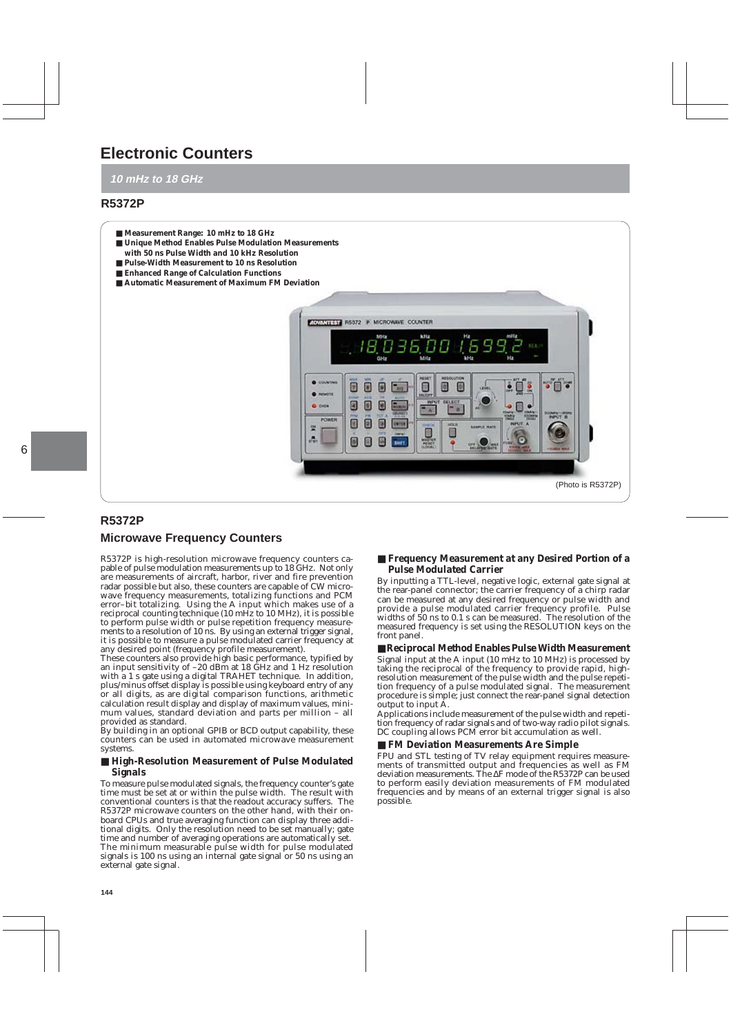# **Electronic Counters**

# **10 mHz to 18 GHz**

# **R5372P**

- **Measurement Range: 10 mHz to 18 GHz**
- **Unique Method Enables Pulse Modulation Measurements**
- **with 50 ns Pulse Width and 10 kHz Resolution**
- **Pulse-Width Measurement to 10 ns Resolution**
- **Enhanced Range of Calculation Functions**
- **Automatic Measurement of Maximum FM Deviation**



# **R5372P**

# **Microwave Frequency Counters**

R5372P is high-resolution microwave frequency counters capable of pulse modulation measurements up to 18 GHz. Not only are measurements of aircraft, harbor, river and fire prevention radar possible but also, these counters are capable of CW microwave frequency measurements, totalizing functions and PCM error-bit totalizing. Using the A input which makes use of a reciprocal counting technique (10 mHz to 10 MHz), it is possible to perform pulse width or pulse repetition frequency measurements to a resolution of 10 ns. By using an external trigger signal, it is possible to measure a pulse modulated carrier frequency at any desired point (frequency profile measurement).

These counters also provide high basic performance, typified by an input sensitivity of –20 dBm at 18 GHz and 1 Hz resolution with a 1 s gate using a digital TRAHET technique. In addition, plus/minus offset display is possible using keyboard entry of any or all digits, as are digital comparison functions, arithmetic calculation result display and display of maximum values, minimum values, standard deviation and parts per million – all provided as standard.

By building in an optional GPIB or BCD output capability, these counters can be used in automated microwave measurement systems.

### ■ High-Resolution Measurement of Pulse Modulated **Signals**

To measure pulse modulated signals, the frequency counter's gate time must be set at or within the pulse width. The result with conventional counters is that the readout accuracy suffers. The R5372P microwave counters on the other hand, with their onboard CPUs and true averaging function can display three additional digits. Only the resolution need to be set manually; gate time and number of averaging operations are automatically set. The minimum measurable pulse width for pulse modulated signals is 100 ns using an internal gate signal or 50 ns using an external gate signal.

# ■ **Frequency Measurement at any Desired Portion of a Pulse Modulated Carrier**

By inputting a TTL-level, negative logic, external gate signal at the rear-panel connector; the carrier frequency of a chirp radar can be measured at any desired frequency or pulse width and provide a pulse modulated carrier frequency profile. Pulse widths of 50 ns to 0.1 s can be measured. The resolution of the measured frequency is set using the RESOLUTION keys on the front panel.

### ■ **Reciprocal Method Enables Pulse Width Measurement**

Signal input at the A input (10 mHz to 10 MHz) is processed by taking the reciprocal of the frequency to provide rapid, highresolution measurement of the pulse width and the pulse repetition frequency of a pulse modulated signal. The measurement procedure is simple; just connect the rear-panel signal detection output to input A.

Applications include measurement of the pulse width and repetition frequency of radar signals and of two-way radio pilot signals. DC coupling allows PCM error bit accumulation as well.

### ■ **FM Deviation Measurements Are Simple**

FPU and STL testing of TV relay equipment requires measurements of transmitted output and frequencies as well as FM deviation measurements. The ∆F mode of the R5372P can be used to perform easily deviation measurements of FM modulated frequencies and by means of an external trigger signal is also possible.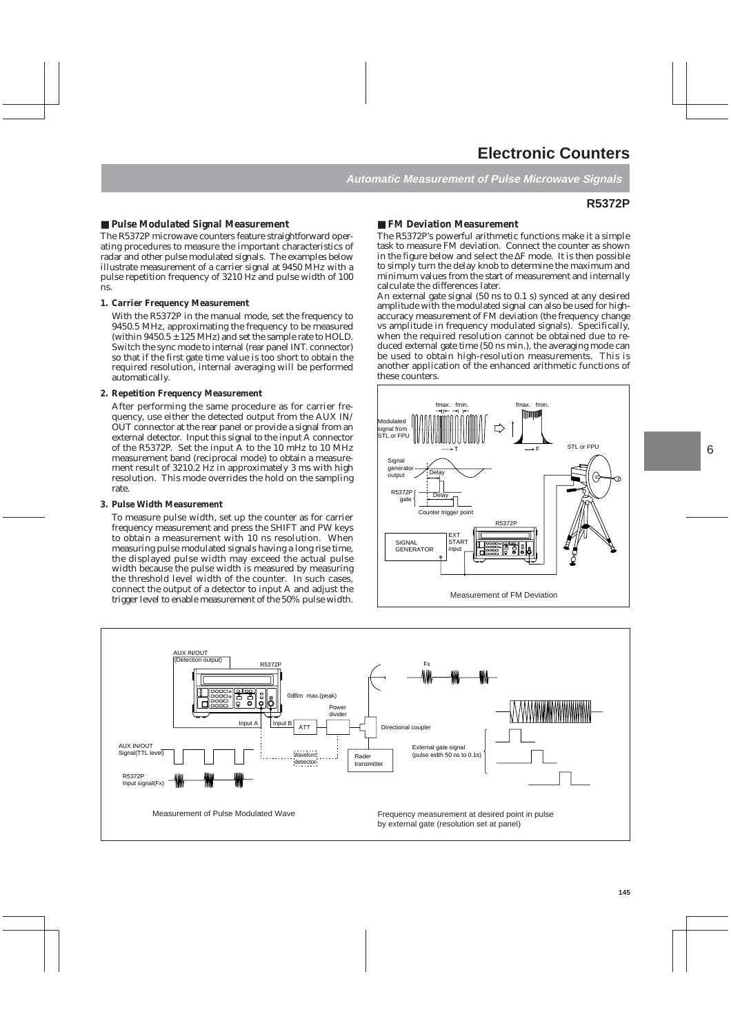**Automatic Measurement of Pulse Microwave Signals**

# **R5372P**

# ■ **Pulse Modulated Signal Measurement**

The R5372P microwave counters feature straightforward operating procedures to measure the important characteristics of radar and other pulse modulated signals. The examples below illustrate measurement of a carrier signal at 9450 MHz with a pulse repetition frequency of 3210 Hz and pulse width of 100 ns.

### **1. Carrier Frequency Measurement**

With the R5372P in the manual mode, set the frequency to 9450.5 MHz, approximating the frequency to be measured (within  $9450.5 \pm 125$  MHz) and set the sample rate to HOLD. Switch the sync mode to internal (rear panel INT. connector) so that if the first gate time value is too short to obtain the required resolution, internal averaging will be performed automatically.

# **2. Repetition Frequency Measurement**

After performing the same procedure as for carrier frequency, use either the detected output from the AUX IN/ OUT connector at the rear panel or provide a signal from an external detector. Input this signal to the input A connector of the R5372P. Set the input A to the 10 mHz to 10 MHz measurement band (reciprocal mode) to obtain a measurement result of 3210.2 Hz in approximately 3 ms with high resolution. This mode overrides the hold on the sampling rate.

### **3. Pulse Width Measurement**

To measure pulse width, set up the counter as for carrier frequency measurement and press the SHIFT and PW keys to obtain a measurement with 10 ns resolution. When measuring pulse modulated signals having a long rise time, the displayed pulse width may exceed the actual pulse width because the pulse width is measured by measuring the threshold level width of the counter. In such cases, connect the output of a detector to input A and adjust the trigger level to enable measurement of the 50% pulse width.

# ■ **FM Deviation Measurement**

The R5372P's powerful arithmetic functions make it a simple task to measure FM deviation. Connect the counter as shown in the figure below and select the ∆F mode. It is then possible to simply turn the delay knob to determine the maximum and minimum values from the start of measurement and internally calculate the differences later.

An external gate signal (50 ns to 0.1 s) synced at any desired amplitude with the modulated signal can also be used for highaccuracy measurement of FM deviation (the frequency change vs amplitude in frequency modulated signals). Specifically, when the required resolution cannot be obtained due to reduced external gate time (50 ns min.), the averaging mode can be used to obtain high-resolution measurements. This is another application of the enhanced arithmetic functions of these counters.



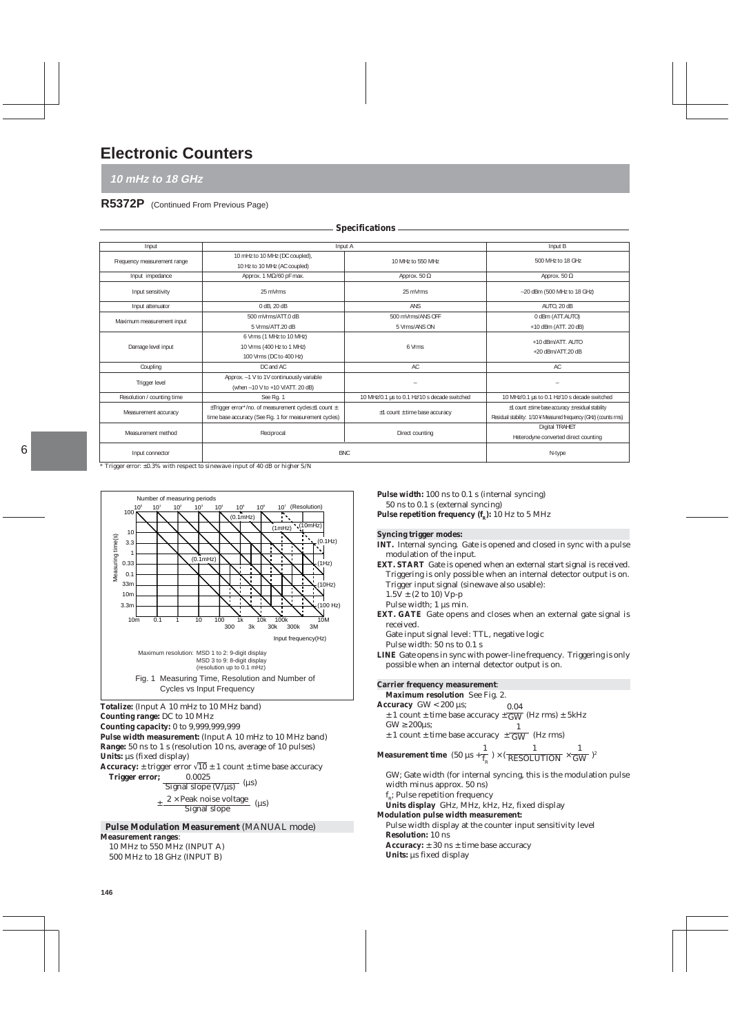# **Electronic Counters**

**10 mHz to 18 GHz**

# **R5372P** (Continued From Previous Page)

| Input                       | Input A                                                                                                       |                                              | Input B                                                                                                                             |
|-----------------------------|---------------------------------------------------------------------------------------------------------------|----------------------------------------------|-------------------------------------------------------------------------------------------------------------------------------------|
| Frequency measurement range | 10 mHz to 10 MHz (DC coupled),<br>10 Hz to 10 MHz (AC coupled)                                                | 10 MHz to 550 MHz                            | 500 MHz to 18 GHz                                                                                                                   |
| Input impedance             | Approx. 1 $M\Omega/60$ pF max.                                                                                | Approx. 50 $\Omega$                          | Approx. 50 $\Omega$                                                                                                                 |
| Input sensitivity           | 25 mVrms                                                                                                      | 25 mVrms                                     | $-20$ dBm (500 MHz to 18 GHz)                                                                                                       |
| Input attenuator            | 0 dB, 20 dB                                                                                                   | ANS                                          | AUTO, 20 dB                                                                                                                         |
|                             | 500 mVrms/ATT.0 dB                                                                                            | 500 mVrms/ANS OFF                            | 0 dBm (ATT.AUTO)                                                                                                                    |
| Maximum measurement input   | 5 Vrms/ATT.20 dB                                                                                              | 5 Vrms/ANS ON                                | +10 dBm (ATT. 20 dB)                                                                                                                |
| Damage level input          | 6 Vrms (1 MHz to 10 MHz)<br>10 Vrms (400 Hz to 1 MHz)<br>100 Vrms (DC to 400 Hz)                              | 6 Vrms                                       | +10 dBm/ATT. AUTO<br>+20 dBm/ATT.20 dB                                                                                              |
| Coupling                    | DC and AC                                                                                                     | AC                                           | AC                                                                                                                                  |
| Trigger level               | Approx. -1 V to 1V continuously variable<br>(when -10 V to +10 V/ATT. 20 dB)                                  | $\overline{\phantom{a}}$                     | -                                                                                                                                   |
| Resolution / counting time  | See Fig. 1                                                                                                    | 10 MHz/0.1 µs to 0.1 Hz/10 s decade switched | 10 MHz/0.1 us to 0.1 Hz/10 s decade switched                                                                                        |
| Measurement accuracy        | ±Trigger error*/no. of measurement cycles±1 count ±<br>time base accuracy (See Fig. 1 for measurement cycles) | $±1$ count $±$ time base accuracy            | $\pm$ 1 count $\pm$ time base accuracy $\pm$ residual stability<br>Residual stability: 1/10 ¥ Measured frequency (GHz) (counts rms) |
| Measurement method          | Reciprocal                                                                                                    | Direct counting                              | Digital TRAHET<br>Heterodyne converted direct counting                                                                              |
| Input connector             | <b>BNC</b>                                                                                                    |                                              | N-type                                                                                                                              |

**Specifications**

\* Trigger error: ±0.3% with respect to sinewave input of 40 dB or higher S/N



**Counting range:** DC to 10 MHz **Counting capacity:** 0 to 9,999,999,999 Pulse width measurement: (Input A 10 mHz to 10 MHz band)

**Range:** 50 ns to 1 s (resolution 10 ns, average of 10 pulses) Units:  $\mu s$  (fixed display)

**Accuracy:**  $\pm$  trigger error  $\sqrt{10} \pm 1$  count  $\pm$  time base accuracy<br>**Trigger error:** 0.0025 **Trigger error;** 

 $\frac{1}{\text{Signal slope (V/µs)}}$  (µs)

 $\pm \frac{2 \times \text{Peak noise voltage}}{\text{Signal slope}}$  (µs)

 **Pulse Modulation Measurement** (MANUAL mode) **Measurement ranges**:

10 MHz to 550 MHz (INPUT A) 500 MHz to 18 GHz (INPUT B)

**Pulse width:** 100 ns to 0.1 s (internal syncing) 50 ns to 0.1 s (external syncing) Pulse repetition frequency (f<sub>p</sub>): 10 Hz to 5 MHz

**Syncing trigger modes:**

**INT.** Internal syncing. Gate is opened and closed in sync with a pulse modulation of the input.

**EXT. START** Gate is opened when an external start signal is received. Triggering is only possible when an internal detector output is on. Trigger input signal (sinewave also usable):

 $1.5V \pm (2 \text{ to } 10) \text{ Vp-p}$ 

Pulse width: 1 us min.

**EXT. GATE** Gate opens and closes when an external gate signal is received.

Gate input signal level: TTL, negative logic

Pulse width: 50 ns to 0.1 s

**LINE** Gate opens in sync with power-line frequency. Triggering is only possible when an internal detector output is on.

# **Carrier frequency measurement**:

**Maximum resolution** See Fig. 2. **Accuracy** GW < 200 µs;  $\pm$  1 count  $\pm$  time base accuracy  $\pm \overline{GW}$  (Hz rms)  $\pm$  5kHz  $\text{GW} \geq 200 \mu\text{s}$ ; 0.04

 $\text{G}_{\text{W}} \geq \text{200}$ µs;<br>± 1 count ± time base accuracy  $\pm \frac{1}{\text{GW}}$  (Hz rms) GW

**Measurement time**  $(50 \mu s + \frac{1}{f}) \times (\frac{1}{RFSOLIITION} \times \frac{1}{GW})^2$  $\rm f_g$ 1 RESOLUTION 1 GW

GW; Gate width (for internal syncing, this is the modulation pulse width minus approx. 50 ns)  $\rm{f}_{\rm{\scriptscriptstyle R}}$ ; Pulse repetition frequency **Units display** GHz, MHz, kHz, Hz, fixed display

**Modulation pulse width measurement:** Pulse width display at the counter input sensitivity level **Resolution:** 10 ns **Accuracy:** ± 30 ns ± time base accuracy

Units:  $\mu s$  fixed display